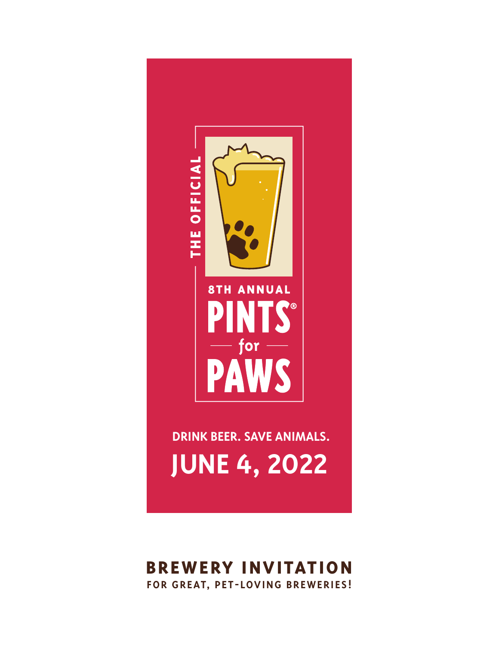

# **BREWERY INVITATION FOR GREAT, PET-LOVING BREWERIES!**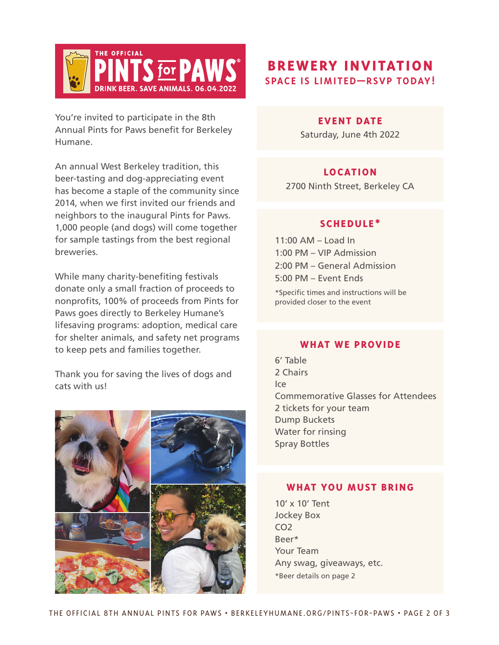

You're invited to participate in the 8th Annual Pints for Paws benefit for Berkeley Humane.

An annual West Berkeley tradition, this beer-tasting and dog-appreciating event has become a staple of the community since 2014, when we first invited our friends and neighbors to the inaugural Pints for Paws. 1,000 people (and dogs) will come together for sample tastings from the best regional breweries.

While many charity-benefiting festivals donate only a small fraction of proceeds to nonprofits, 100% of proceeds from Pints for Paws goes directly to Berkeley Humane's lifesaving programs: adoption, medical care for shelter animals, and safety net programs to keep pets and families together.

Thank you for saving the lives of dogs and cats with us!



# **BREWERY INVITATION SPACE IS LIMITED—RSVP TODAY!**

#### **EVENT DATE**

Saturday, June 4th 2022

## **LOCATION**

2700 Ninth Street, Berkeley CA

### **SCHEDULE\***

11:00 AM – Load In 1:00 PM – VIP Admission 2:00 PM – General Admission 5:00 PM – Event Ends

\*Specific times and instructions will be provided closer to the event

### **WHAT WE PROVIDE**

6' Table 2 Chairs  $|c\rho|$ Commemorative Glasses for Attendees 2 tickets for your team Dump Buckets Water for rinsing Spray Bottles

### **WHAT YOU MUST BRING**

10' x 10' Tent Jockey Box CO<sub>2</sub> Beer\* Your Team Any swag, giveaways, etc. \*Beer details on page 2